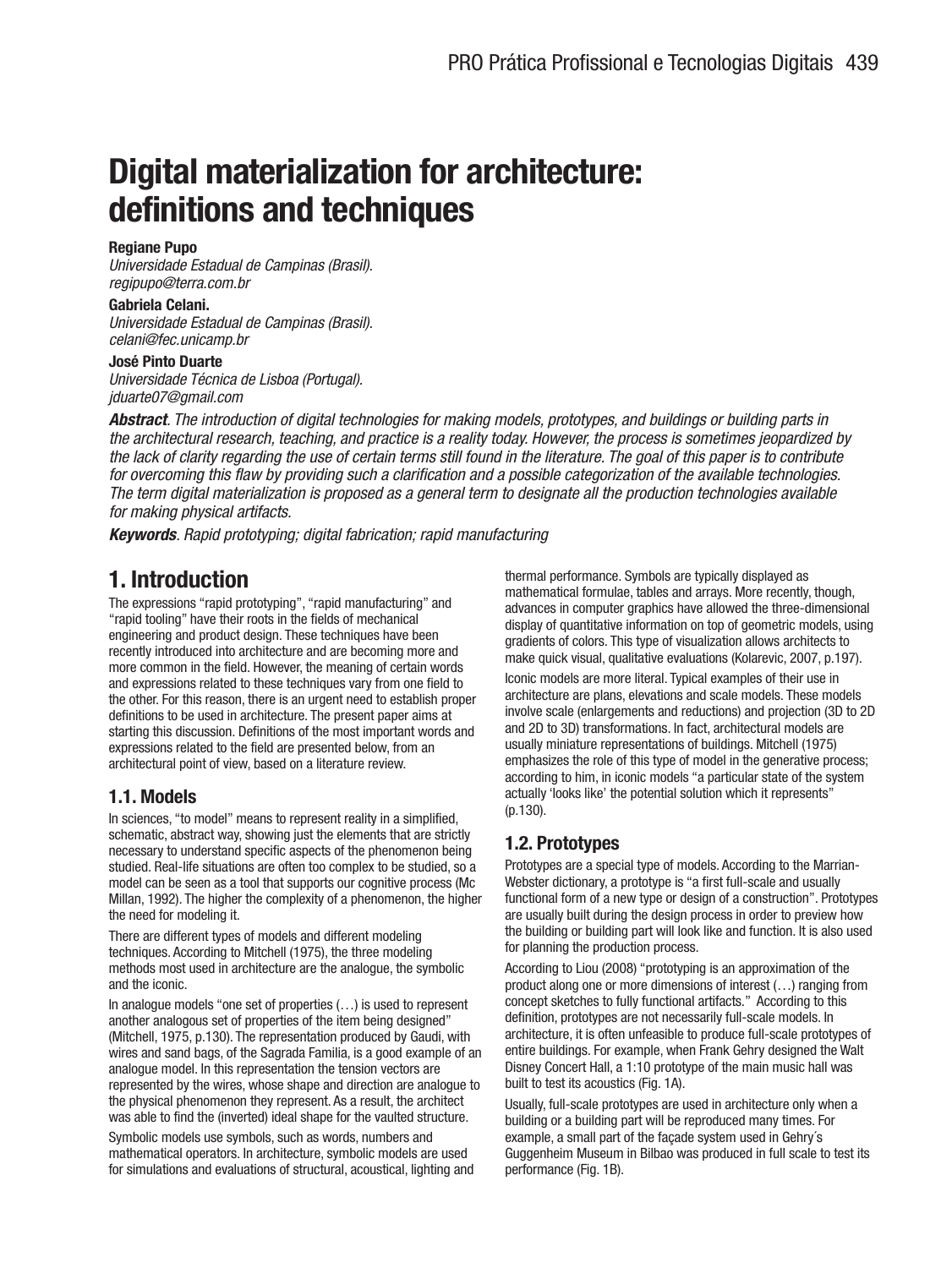# **Digital materialization for architecture: definitions and techniques**

#### **Regiane Pupo**

Universidade Estadual de Campinas (Brasil). regipupo@terra.com.br

#### **Gabriela Celani.**

Universidade Estadual de Campinas (Brasil). celani@fec.unicamp.br

#### **José Pinto Duarte**

Universidade Técnica de Lisboa (Portugal). jduarte07@gmail.com

**Abstract**. The introduction of digital technologies for making models, prototypes, and buildings or building parts in the architectural research, teaching, and practice is a reality today. However, the process is sometimes jeopardized by the lack of clarity regarding the use of certain terms still found in the literature. The goal of this paper is to contribute for overcoming this flaw by providing such a clarification and a possible categorization of the available technologies. The term digital materialization is proposed as a general term to designate all the production technologies available for making physical artifacts.

**Keywords**. Rapid prototyping; digital fabrication; rapid manufacturing

## **1. Introduction**

The expressions "rapid prototyping", "rapid manufacturing" and "rapid tooling" have their roots in the fields of mechanical engineering and product design. These techniques have been recently introduced into architecture and are becoming more and more common in the field. However, the meaning of certain words and expressions related to these techniques vary from one field to the other. For this reason, there is an urgent need to establish proper definitions to be used in architecture. The present paper aims at starting this discussion. Definitions of the most important words and expressions related to the field are presented below, from an architectural point of view, based on a literature review.

#### **1.1. Models**

In sciences, "to model" means to represent reality in a simplified, schematic, abstract way, showing just the elements that are strictly necessary to understand specific aspects of the phenomenon being studied. Real-life situations are often too complex to be studied, so a model can be seen as a tool that supports our cognitive process (Mc Millan, 1992). The higher the complexity of a phenomenon, the higher the need for modeling it.

There are different types of models and different modeling techniques. According to Mitchell (1975), the three modeling methods most used in architecture are the analogue, the symbolic and the iconic.

In analogue models "one set of properties (…) is used to represent another analogous set of properties of the item being designed" (Mitchell, 1975, p.130). The representation produced by Gaudi, with wires and sand bags, of the Sagrada Familia, is a good example of an analogue model. In this representation the tension vectors are represented by the wires, whose shape and direction are analogue to the physical phenomenon they represent. As a result, the architect was able to find the (inverted) ideal shape for the vaulted structure.

Symbolic models use symbols, such as words, numbers and mathematical operators. In architecture, symbolic models are used for simulations and evaluations of structural, acoustical, lighting and thermal performance. Symbols are typically displayed as mathematical formulae, tables and arrays. More recently, though, advances in computer graphics have allowed the three-dimensional display of quantitative information on top of geometric models, using gradients of colors. This type of visualization allows architects to make quick visual, qualitative evaluations (Kolarevic, 2007, p.197).

Iconic models are more literal. Typical examples of their use in architecture are plans, elevations and scale models. These models involve scale (enlargements and reductions) and projection (3D to 2D and 2D to 3D) transformations. In fact, architectural models are usually miniature representations of buildings. Mitchell (1975) emphasizes the role of this type of model in the generative process; according to him, in iconic models "a particular state of the system actually 'looks like' the potential solution which it represents" (p.130).

## **1.2. Prototypes**

Prototypes are a special type of models. According to the Marrian-Webster dictionary, a prototype is "a first full-scale and usually functional form of a new type or design of a construction". Prototypes are usually built during the design process in order to preview how the building or building part will look like and function. It is also used for planning the production process.

According to Liou (2008) "prototyping is an approximation of the product along one or more dimensions of interest (…) ranging from concept sketches to fully functional artifacts." According to this definition, prototypes are not necessarily full-scale models. In architecture, it is often unfeasible to produce full-scale prototypes of entire buildings. For example, when Frank Gehry designed the Walt Disney Concert Hall, a 1:10 prototype of the main music hall was built to test its acoustics (Fig. 1A).

Usually, full-scale prototypes are used in architecture only when a building or a building part will be reproduced many times. For example, a small part of the façade system used in Gehry´s Guggenheim Museum in Bilbao was produced in full scale to test its performance (Fig. 1B).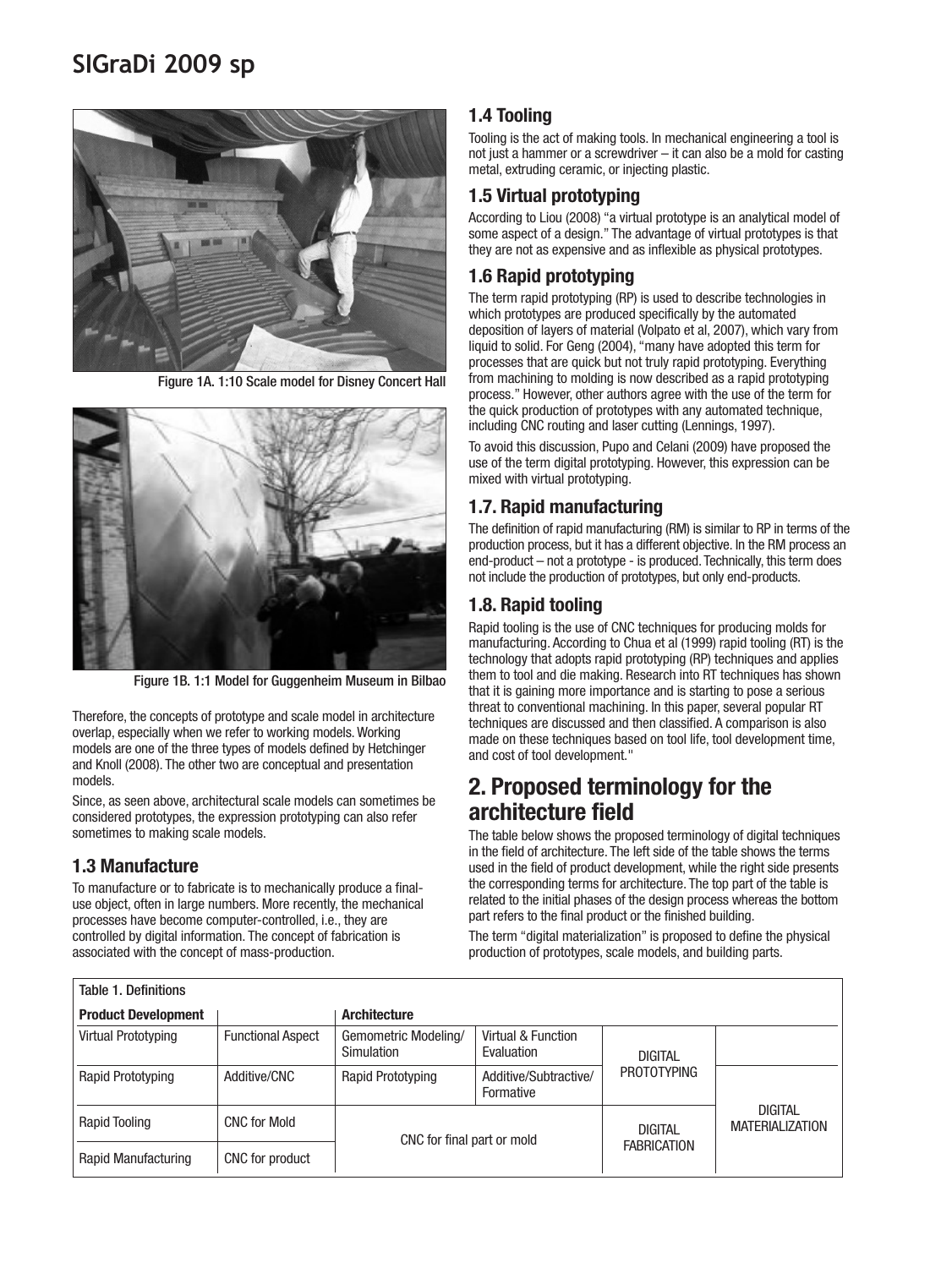# **SIGraDi 2009 sp**



Figure 1A. 1:10 Scale model for Disney Concert Hall



Figure 1B. 1:1 Model for Guggenheim Museum in Bilbao

Therefore, the concepts of prototype and scale model in architecture overlap, especially when we refer to working models. Working models are one of the three types of models defined by Hetchinger and Knoll (2008). The other two are conceptual and presentation models.

Since, as seen above, architectural scale models can sometimes be considered prototypes, the expression prototyping can also refer sometimes to making scale models.

#### **1.3 Manufacture**

To manufacture or to fabricate is to mechanically produce a finaluse object, often in large numbers. More recently, the mechanical processes have become computer-controlled, i.e., they are controlled by digital information. The concept of fabrication is associated with the concept of mass-production.

## **1.4 Tooling**

Tooling is the act of making tools. In mechanical engineering a tool is not just a hammer or a screwdriver – it can also be a mold for casting metal, extruding ceramic, or injecting plastic.

#### **1.5 Virtual prototyping**

According to Liou (2008) "a virtual prototype is an analytical model of some aspect of a design." The advantage of virtual prototypes is that they are not as expensive and as inflexible as physical prototypes.

## **1.6 Rapid prototyping**

The term rapid prototyping (RP) is used to describe technologies in which prototypes are produced specifically by the automated deposition of layers of material (Volpato et al, 2007), which vary from liquid to solid. For Geng (2004), "many have adopted this term for processes that are quick but not truly rapid prototyping. Everything from machining to molding is now described as a rapid prototyping process." However, other authors agree with the use of the term for the quick production of prototypes with any automated technique, including CNC routing and laser cutting (Lennings, 1997).

To avoid this discussion, Pupo and Celani (2009) have proposed the use of the term digital prototyping. However, this expression can be mixed with virtual prototyping.

#### **1.7. Rapid manufacturing**

The definition of rapid manufacturing (RM) is similar to RP in terms of the production process, but it has a different objective. In the RM process an end-product – not a prototype - is produced. Technically, this term does not include the production of prototypes, but only end-products.

## **1.8. Rapid tooling**

Rapid tooling is the use of CNC techniques for producing molds for manufacturing. According to Chua et al (1999) rapid tooling (RT) is the technology that adopts rapid prototyping (RP) techniques and applies them to tool and die making. Research into RT techniques has shown that it is gaining more importance and is starting to pose a serious threat to conventional machining. In this paper, several popular RT techniques are discussed and then classified. A comparison is also made on these techniques based on tool life, tool development time, and cost of tool development."

## **2. Proposed terminology for the architecture field**

The table below shows the proposed terminology of digital techniques in the field of architecture. The left side of the table shows the terms used in the field of product development, while the right side presents the corresponding terms for architecture. The top part of the table is related to the initial phases of the design process whereas the bottom part refers to the final product or the finished building.

The term "digital materialization" is proposed to define the physical production of prototypes, scale models, and building parts.

| Table 1. Definitions       |                          |                                    |                                    |                                                                |                |  |  |
|----------------------------|--------------------------|------------------------------------|------------------------------------|----------------------------------------------------------------|----------------|--|--|
| <b>Product Development</b> |                          | <b>Architecture</b>                |                                    |                                                                |                |  |  |
| <b>Virtual Prototyping</b> | <b>Functional Aspect</b> | Gemometric Modeling/<br>Simulation | Virtual & Function<br>Evaluation   | <b>DIGITAL</b>                                                 |                |  |  |
| Rapid Prototyping          | Additive/CNC             | Rapid Prototyping                  | Additive/Subtractive/<br>Formative | <b>PROTOTYPING</b>                                             |                |  |  |
| Rapid Tooling              | <b>CNC for Mold</b>      | CNC for final part or mold         |                                    | <b>MATERIALIZATION</b><br><b>DIGITAL</b><br><b>FABRICATION</b> | <b>DIGITAL</b> |  |  |
| Rapid Manufacturing        | CNC for product          |                                    |                                    |                                                                |                |  |  |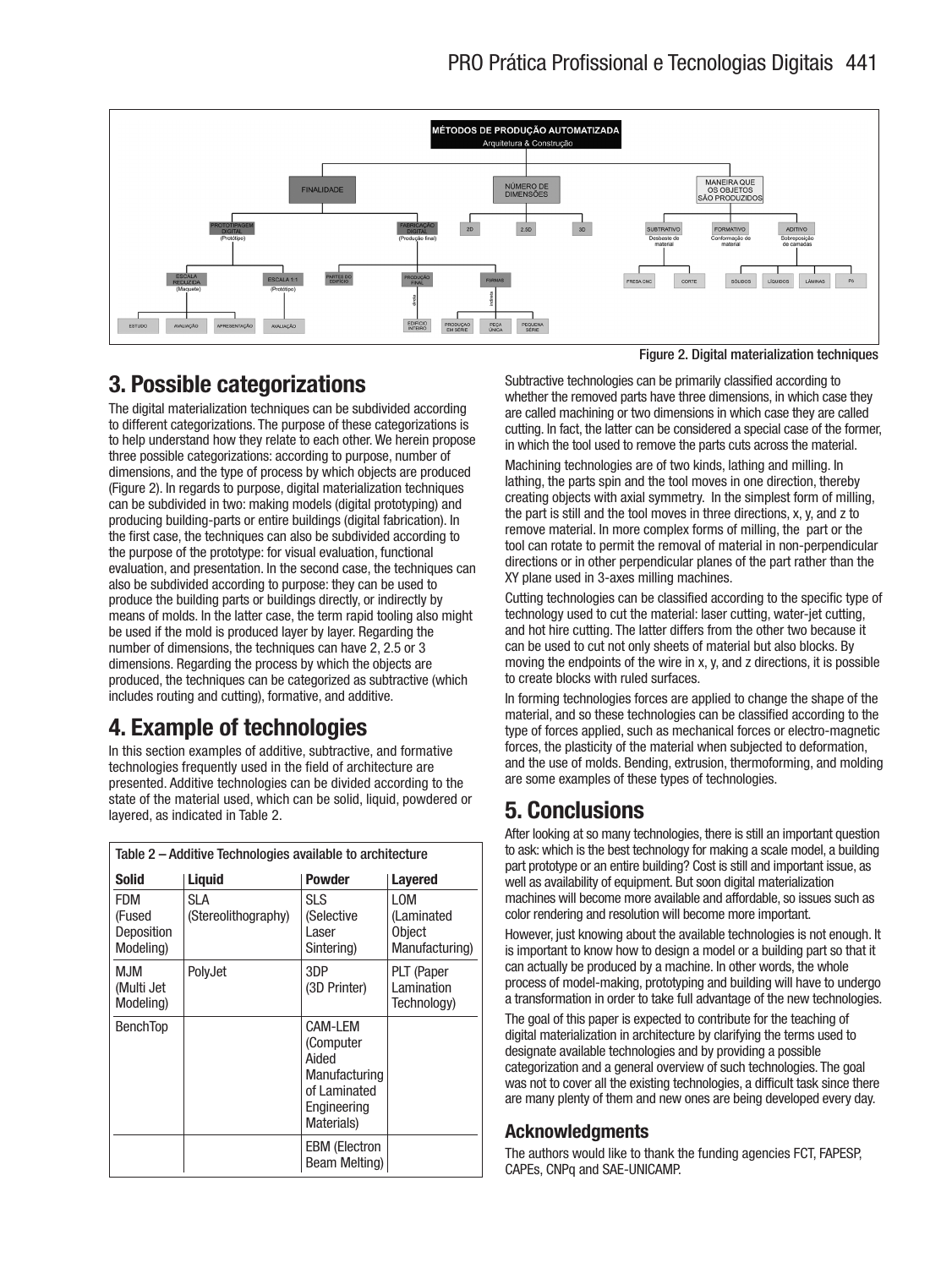

# **3. Possible categorizations**

The digital materialization techniques can be subdivided according to different categorizations. The purpose of these categorizations is to help understand how they relate to each other. We herein propose three possible categorizations: according to purpose, number of dimensions, and the type of process by which objects are produced (Figure 2). In regards to purpose, digital materialization techniques can be subdivided in two: making models (digital prototyping) and producing building-parts or entire buildings (digital fabrication). In the first case, the techniques can also be subdivided according to the purpose of the prototype: for visual evaluation, functional evaluation, and presentation. In the second case, the techniques can also be subdivided according to purpose: they can be used to produce the building parts or buildings directly, or indirectly by means of molds. In the latter case, the term rapid tooling also might be used if the mold is produced layer by layer. Regarding the number of dimensions, the techniques can have 2, 2.5 or 3 dimensions. Regarding the process by which the objects are produced, the techniques can be categorized as subtractive (which includes routing and cutting), formative, and additive.

# **4. Example of technologies**

In this section examples of additive, subtractive, and formative technologies frequently used in the field of architecture are presented. Additive technologies can be divided according to the state of the material used, which can be solid, liquid, powdered or layered, as indicated in Table 2.

| Table 2 - Additive Technologies available to architecture |                             |                                                                                             |                                                             |  |  |  |
|-----------------------------------------------------------|-----------------------------|---------------------------------------------------------------------------------------------|-------------------------------------------------------------|--|--|--|
| <b>Solid</b>                                              | Liquid                      | <b>Powder</b>                                                                               | <b>Layered</b>                                              |  |  |  |
| FDM<br>(Fused<br>Deposition<br>Modeling)                  | SI A<br>(Stereolithography) | SLS<br>(Selective<br>Laser<br>Sintering)                                                    | <b>LOM</b><br>(Laminated<br><b>Object</b><br>Manufacturing) |  |  |  |
| <b>MJM</b><br>(Multi Jet<br>Modeling)                     | PolyJet                     | 3DP<br>(3D Printer)                                                                         | PLT (Paper<br>Lamination<br>Technology)                     |  |  |  |
| <b>BenchTop</b>                                           |                             | CAM-LEM<br>(Computer<br>Aided<br>Manufacturing<br>of Laminated<br>Engineering<br>Materials) |                                                             |  |  |  |
|                                                           |                             | <b>EBM (Electron</b><br>Beam Melting)                                                       |                                                             |  |  |  |

Figure 2. Digital materialization techniques

Subtractive technologies can be primarily classified according to whether the removed parts have three dimensions, in which case they are called machining or two dimensions in which case they are called cutting. In fact, the latter can be considered a special case of the former, in which the tool used to remove the parts cuts across the material.

Machining technologies are of two kinds, lathing and milling. In lathing, the parts spin and the tool moves in one direction, thereby creating objects with axial symmetry. In the simplest form of milling, the part is still and the tool moves in three directions, x, y, and z to remove material. In more complex forms of milling, the part or the tool can rotate to permit the removal of material in non-perpendicular directions or in other perpendicular planes of the part rather than the XY plane used in 3-axes milling machines.

Cutting technologies can be classified according to the specific type of technology used to cut the material: laser cutting, water-jet cutting, and hot hire cutting. The latter differs from the other two because it can be used to cut not only sheets of material but also blocks. By moving the endpoints of the wire in x, y, and z directions, it is possible to create blocks with ruled surfaces.

In forming technologies forces are applied to change the shape of the material, and so these technologies can be classified according to the type of forces applied, such as mechanical forces or electro-magnetic forces, the plasticity of the material when subjected to deformation, and the use of molds. Bending, extrusion, thermoforming, and molding are some examples of these types of technologies.

## **5. Conclusions**

After looking at so many technologies, there is still an important question to ask: which is the best technology for making a scale model, a building part prototype or an entire building? Cost is still and important issue, as well as availability of equipment. But soon digital materialization machines will become more available and affordable, so issues such as color rendering and resolution will become more important.

However, just knowing about the available technologies is not enough. It is important to know how to design a model or a building part so that it can actually be produced by a machine. In other words, the whole process of model-making, prototyping and building will have to undergo a transformation in order to take full advantage of the new technologies.

The goal of this paper is expected to contribute for the teaching of digital materialization in architecture by clarifying the terms used to designate available technologies and by providing a possible categorization and a general overview of such technologies. The goal was not to cover all the existing technologies, a difficult task since there are many plenty of them and new ones are being developed every day.

## **Acknowledgments**

The authors would like to thank the funding agencies FCT, FAPESP, CAPEs, CNPq and SAE-UNICAMP.